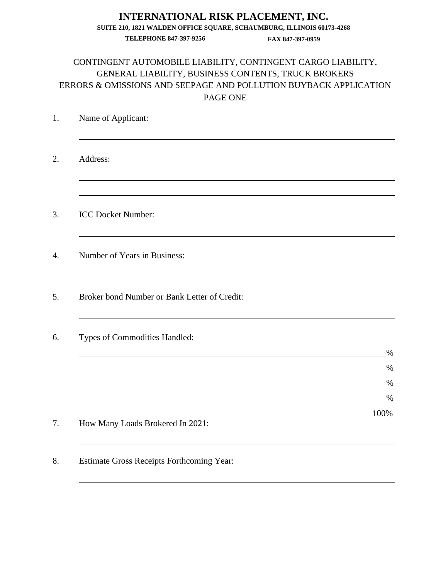# CONTINGENT AUTOMOBILE LIABILITY, CONTINGENT CARGO LIABILITY, GENERAL LIABILITY, BUSINESS CONTENTS, TRUCK BROKERS ERRORS & OMISSIONS AND SEEPAGE AND POLLUTION BUYBACK APPLICATION PAGE ONE

| Address:                                     |              |
|----------------------------------------------|--------------|
|                                              |              |
| <b>ICC Docket Number:</b>                    |              |
| Number of Years in Business:                 |              |
| Broker bond Number or Bank Letter of Credit: |              |
| Types of Commodities Handled:                |              |
|                                              | $\%$<br>$\%$ |
|                                              | $\%$         |
|                                              | $\%$         |
| How Many Loads Brokered In 2021:             | 100%         |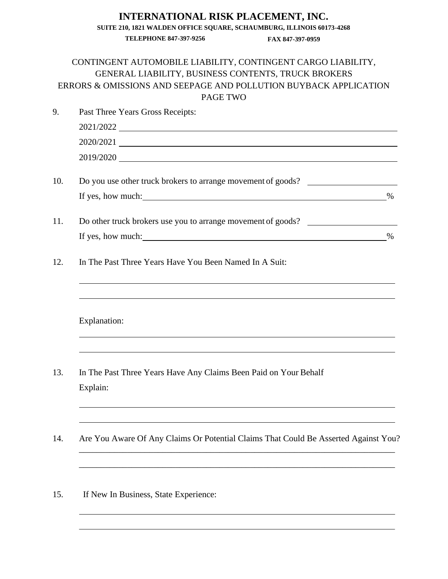# CONTINGENT AUTOMOBILE LIABILITY, CONTINGENT CARGO LIABILITY, GENERAL LIABILITY, BUSINESS CONTENTS, TRUCK BROKERS ERRORS & OMISSIONS AND SEEPAGE AND POLLUTION BUYBACK APPLICATION PAGE TWO

| 9.  | Past Three Years Gross Receipts:                                                                 |  |  |
|-----|--------------------------------------------------------------------------------------------------|--|--|
|     | 2021/2022                                                                                        |  |  |
|     |                                                                                                  |  |  |
|     | 2019/2020                                                                                        |  |  |
| 10. | Do you use other truck brokers to arrange movement of goods?                                     |  |  |
|     |                                                                                                  |  |  |
| 11. | Do other truck brokers use you to arrange movement of goods?                                     |  |  |
|     |                                                                                                  |  |  |
| 12. | In The Past Three Years Have You Been Named In A Suit:                                           |  |  |
|     | Explanation:<br>,我们也不会有什么。""我们的人,我们也不会有什么?""我们的人,我们也不会有什么?""我们的人,我们也不会有什么?""我们的人,我们也不会有什么?""我们的人 |  |  |
| 13. | In The Past Three Years Have Any Claims Been Paid on Your Behalf                                 |  |  |
|     | Explain:                                                                                         |  |  |
| 14. | Are You Aware Of Any Claims Or Potential Claims That Could Be Asserted Against You?              |  |  |
| 15. | If New In Business, State Experience:                                                            |  |  |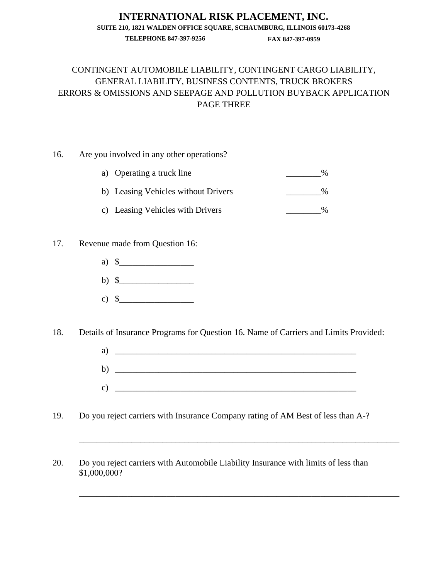# **INTERNATIONAL RISK PLACEMENT, INC.**

**SUITE 210, 1821 WALDEN OFFICE SQUARE, SCHAUMBURG, ILLINOIS 60173-4268**

**TELEPHONE 847-397-9256 FAX 847-397-0959**

# CONTINGENT AUTOMOBILE LIABILITY, CONTINGENT CARGO LIABILITY, GENERAL LIABILITY, BUSINESS CONTENTS, TRUCK BROKERS ERRORS & OMISSIONS AND SEEPAGE AND POLLUTION BUYBACK APPLICATION PAGE THREE

### 16. Are you involved in any other operations?

| a) Operating a truck line           | $\%$ |
|-------------------------------------|------|
| b) Leasing Vehicles without Drivers | $\%$ |
| c) Leasing Vehicles with Drivers    | $\%$ |

### 17. Revenue made from Question 16:

- a)  $\delta$
- b)  $\sqrt[6]{ }$
- c)  $\frac{1}{2}$

18. Details of Insurance Programs for Question 16. Name of Carriers and Limits Provided:

a)  $\Box$ b)  $\Box$  $c)$ 

\_\_\_\_\_\_\_\_\_\_\_\_\_\_\_\_\_\_\_\_\_\_\_\_\_\_\_\_\_\_\_\_\_\_\_\_\_\_\_\_\_\_\_\_\_\_\_\_\_\_\_\_\_\_\_\_\_\_\_\_\_\_\_\_\_\_\_\_\_\_\_\_\_

\_\_\_\_\_\_\_\_\_\_\_\_\_\_\_\_\_\_\_\_\_\_\_\_\_\_\_\_\_\_\_\_\_\_\_\_\_\_\_\_\_\_\_\_\_\_\_\_\_\_\_\_\_\_\_\_\_\_\_\_\_\_\_\_\_\_\_\_\_\_\_\_\_

- 19. Do you reject carriers with Insurance Company rating of AM Best of less than A-?
- 20. Do you reject carriers with Automobile Liability Insurance with limits of less than \$1,000,000?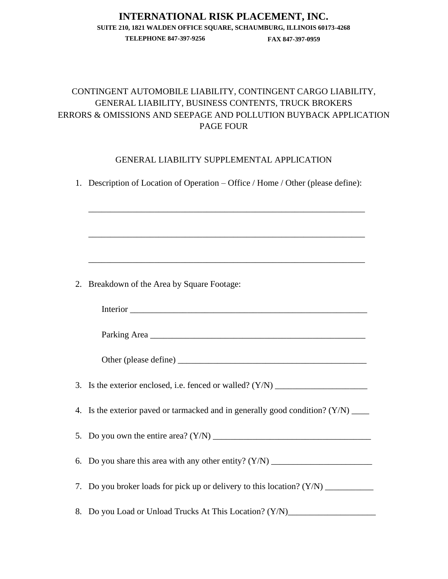### **INTERNATIONAL RISK PLACEMENT, INC. SUITE 210, 1821 WALDEN OFFICE SQUARE, SCHAUMBURG, ILLINOIS 60173-4268**

**TELEPHONE 847-397-9256 FAX 847-397-0959**

# CONTINGENT AUTOMOBILE LIABILITY, CONTINGENT CARGO LIABILITY, GENERAL LIABILITY, BUSINESS CONTENTS, TRUCK BROKERS ERRORS & OMISSIONS AND SEEPAGE AND POLLUTION BUYBACK APPLICATION PAGE FOUR

### GENERAL LIABILITY SUPPLEMENTAL APPLICATION

|    | 1. Description of Location of Operation – Office / Home / Other (please define): |
|----|----------------------------------------------------------------------------------|
|    | <u> 1989 - Johann Stoff, amerikansk politiker (d. 1989)</u>                      |
|    |                                                                                  |
| 2. | Breakdown of the Area by Square Footage:                                         |
|    |                                                                                  |
|    |                                                                                  |
|    |                                                                                  |
|    |                                                                                  |
| 4. | Is the exterior paved or tarmacked and in generally good condition? (Y/N) _____  |
|    |                                                                                  |
| 6. |                                                                                  |
|    | 7. Do you broker loads for pick up or delivery to this location? (Y/N) _________ |
|    | 8. Do you Load or Unload Trucks At This Location? (Y/N)_________________________ |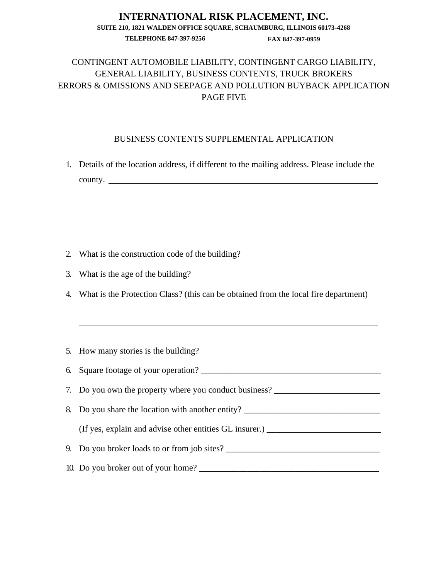# CONTINGENT AUTOMOBILE LIABILITY, CONTINGENT CARGO LIABILITY, GENERAL LIABILITY, BUSINESS CONTENTS, TRUCK BROKERS ERRORS & OMISSIONS AND SEEPAGE AND POLLUTION BUYBACK APPLICATION PAGE FIVE

#### BUSINESS CONTENTS SUPPLEMENTAL APPLICATION

| 1.               | Details of the location address, if different to the mailing address. Please include the<br>county. |  |  |
|------------------|-----------------------------------------------------------------------------------------------------|--|--|
|                  | <u> 1989 - Johann Stoff, amerikansk politiker (* 1908)</u>                                          |  |  |
| 2.               | What is the construction code of the building? __________________________________                   |  |  |
| $\mathfrak{Z}$ . |                                                                                                     |  |  |
| 4.               | What is the Protection Class? (this can be obtained from the local fire department)                 |  |  |
| 5.               |                                                                                                     |  |  |
| 6.               |                                                                                                     |  |  |
| 7.               | Do you own the property where you conduct business? ____________________________                    |  |  |
| 8.               | Do you share the location with another entity? _________________________________                    |  |  |
|                  |                                                                                                     |  |  |
|                  |                                                                                                     |  |  |
|                  |                                                                                                     |  |  |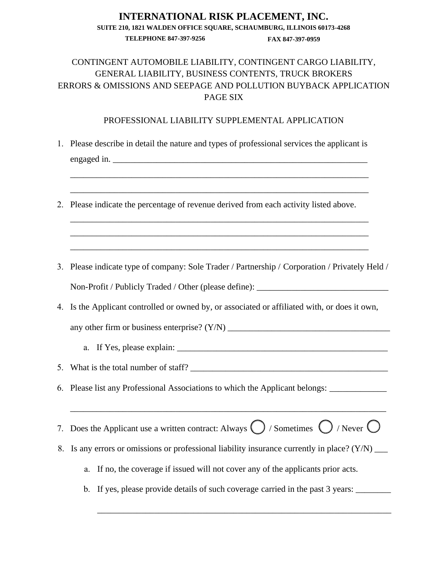# CONTINGENT AUTOMOBILE LIABILITY, CONTINGENT CARGO LIABILITY, GENERAL LIABILITY, BUSINESS CONTENTS, TRUCK BROKERS ERRORS & OMISSIONS AND SEEPAGE AND POLLUTION BUYBACK APPLICATION PAGE SIX

#### PROFESSIONAL LIABILITY SUPPLEMENTAL APPLICATION

1. Please describe in detail the nature and types of professional services the applicant is engaged in.

\_\_\_\_\_\_\_\_\_\_\_\_\_\_\_\_\_\_\_\_\_\_\_\_\_\_\_\_\_\_\_\_\_\_\_\_\_\_\_\_\_\_\_\_\_\_\_\_\_\_\_\_\_\_\_\_\_\_\_\_\_\_\_\_\_\_\_\_

\_\_\_\_\_\_\_\_\_\_\_\_\_\_\_\_\_\_\_\_\_\_\_\_\_\_\_\_\_\_\_\_\_\_\_\_\_\_\_\_\_\_\_\_\_\_\_\_\_\_\_\_\_\_\_\_\_\_\_\_\_\_\_\_\_\_\_\_

\_\_\_\_\_\_\_\_\_\_\_\_\_\_\_\_\_\_\_\_\_\_\_\_\_\_\_\_\_\_\_\_\_\_\_\_\_\_\_\_\_\_\_\_\_\_\_\_\_\_\_\_\_\_\_\_\_\_\_\_\_\_\_\_\_\_\_\_ \_\_\_\_\_\_\_\_\_\_\_\_\_\_\_\_\_\_\_\_\_\_\_\_\_\_\_\_\_\_\_\_\_\_\_\_\_\_\_\_\_\_\_\_\_\_\_\_\_\_\_\_\_\_\_\_\_\_\_\_\_\_\_\_\_\_\_\_ \_\_\_\_\_\_\_\_\_\_\_\_\_\_\_\_\_\_\_\_\_\_\_\_\_\_\_\_\_\_\_\_\_\_\_\_\_\_\_\_\_\_\_\_\_\_\_\_\_\_\_\_\_\_\_\_\_\_\_\_\_\_\_\_\_\_\_\_

- 2. Please indicate the percentage of revenue derived from each activity listed above.
- 3. Please indicate type of company: Sole Trader / Partnership / Corporation / Privately Held / Non-Profit / Publicly Traded / Other (please define):
- 4. Is the Applicant controlled or owned by, or associated or affiliated with, or does it own,

any other firm or business enterprise?  $(Y/N)$ 

- a. If Yes, please explain: \_\_\_\_\_\_\_\_\_\_\_\_\_\_\_\_\_\_\_\_\_\_\_\_\_\_\_\_\_\_\_\_\_\_\_\_\_\_\_\_\_\_\_\_\_\_\_\_
- 5. What is the total number of staff?
- 6. Please list any Professional Associations to which the Applicant belongs:
- 7. Does the Applicant use a written contract: Always  $\bigcirc$  / Sometimes  $\bigcirc$  / Never  $\bigcirc$

\_\_\_\_\_\_\_\_\_\_\_\_\_\_\_\_\_\_\_\_\_\_\_\_\_\_\_\_\_\_\_\_\_\_\_\_\_\_\_\_\_\_\_\_\_\_\_\_\_\_\_\_\_\_\_\_\_\_\_\_\_\_\_\_\_\_\_\_\_\_\_\_

- 8. Is any errors or omissions or professional liability insurance currently in place? (Y/N) \_\_\_\_
	- a. If no, the coverage if issued will not cover any of the applicants prior acts.
	- b. If yes, please provide details of such coverage carried in the past 3 years:

\_\_\_\_\_\_\_\_\_\_\_\_\_\_\_\_\_\_\_\_\_\_\_\_\_\_\_\_\_\_\_\_\_\_\_\_\_\_\_\_\_\_\_\_\_\_\_\_\_\_\_\_\_\_\_\_\_\_\_\_\_\_\_\_\_\_\_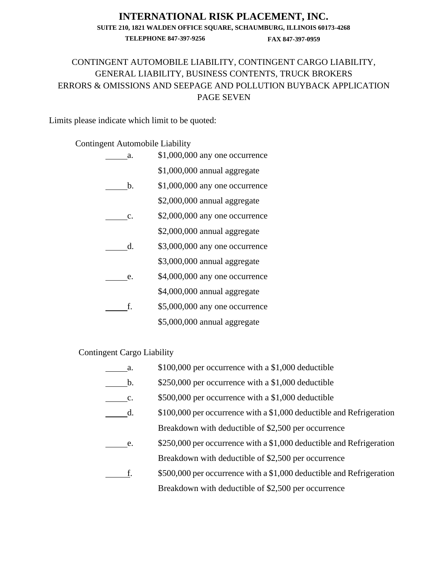### **INTERNATIONAL RISK PLACEMENT, INC. SUITE 210, 1821 WALDEN OFFICE SQUARE, SCHAUMBURG, ILLINOIS 60173-4268**

**TELEPHONE 847-397-9256 FAX 847-397-0959**

## CONTINGENT AUTOMOBILE LIABILITY, CONTINGENT CARGO LIABILITY, GENERAL LIABILITY, BUSINESS CONTENTS, TRUCK BROKERS ERRORS & OMISSIONS AND SEEPAGE AND POLLUTION BUYBACK APPLICATION PAGE SEVEN

Limits please indicate which limit to be quoted:

#### Contingent Automobile Liability

| a.             | \$1,000,000 any one occurrence |
|----------------|--------------------------------|
|                | \$1,000,000 annual aggregate   |
| b.             | \$1,000,000 any one occurrence |
|                | \$2,000,000 annual aggregate   |
| $\mathbf{c}$ . | \$2,000,000 any one occurrence |
|                | \$2,000,000 annual aggregate   |
| d.             | \$3,000,000 any one occurrence |
|                | \$3,000,000 annual aggregate   |
| e.             | \$4,000,000 any one occurrence |
|                | \$4,000,000 annual aggregate   |
| f.             | \$5,000,000 any one occurrence |
|                | \$5,000,000 annual aggregate   |

## Contingent Cargo Liability

| a.             | \$100,000 per occurrence with a \$1,000 deductible                   |
|----------------|----------------------------------------------------------------------|
| $\mathbf b$ .  | \$250,000 per occurrence with a \$1,000 deductible                   |
| $\mathbf{C}$ . | \$500,000 per occurrence with a \$1,000 deductible                   |
| d.             | \$100,000 per occurrence with a \$1,000 deductible and Refrigeration |
|                | Breakdown with deductible of \$2,500 per occurrence                  |
| e.             | \$250,000 per occurrence with a \$1,000 deductible and Refrigeration |
|                | Breakdown with deductible of \$2,500 per occurrence                  |
| f.             | \$500,000 per occurrence with a \$1,000 deductible and Refrigeration |
|                | Breakdown with deductible of \$2,500 per occurrence                  |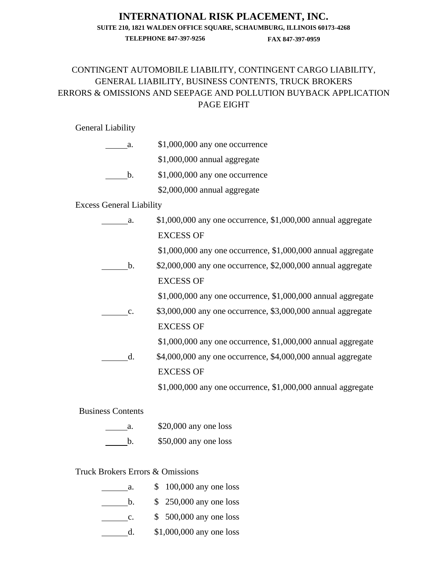#### **INTERNATIONAL RISK PLACEMENT, INC.**

**SUITE 210, 1821 WALDEN OFFICE SQUARE, SCHAUMBURG, ILLINOIS 60173-4268**

**TELEPHONE 847-397-9256 FAX 847-397-0959**

# CONTINGENT AUTOMOBILE LIABILITY, CONTINGENT CARGO LIABILITY, GENERAL LIABILITY, BUSINESS CONTENTS, TRUCK BROKERS ERRORS & OMISSIONS AND SEEPAGE AND POLLUTION BUYBACK APPLICATION PAGE EIGHT

#### General Liability

| a. | \$1,000,000 any one occurrence  |
|----|---------------------------------|
|    | \$1,000,000 annual aggregate    |
| h. | $$1,000,000$ any one occurrence |
|    | \$2,000,000 annual aggregate    |

Excess General Liability

| a.             | $$1,000,000$ any one occurrence, $$1,000,000$ annual aggregate |
|----------------|----------------------------------------------------------------|
|                | <b>EXCESS OF</b>                                               |
|                | $$1,000,000$ any one occurrence, $$1,000,000$ annual aggregate |
| $h_{\cdot}$    | $$2,000,000$ any one occurrence, $$2,000,000$ annual aggregate |
|                | <b>EXCESS OF</b>                                               |
|                | $$1,000,000$ any one occurrence, $$1,000,000$ annual aggregate |
| $\mathbf{c}$ . | \$3,000,000 any one occurrence, \$3,000,000 annual aggregate   |
|                | <b>EXCESS OF</b>                                               |
|                | $$1,000,000$ any one occurrence, $$1,000,000$ annual aggregate |
| d.             | \$4,000,000 any one occurrence, \$4,000,000 annual aggregate   |
|                | <b>EXCESS OF</b>                                               |
|                | $$1,000,000$ any one occurrence, $$1,000,000$ annual aggregate |
|                |                                                                |

Business Contents

| a. | $$20,000$ any one loss |
|----|------------------------|
| h. | $$50,000$ any one loss |

# Truck Brokers Errors & Omissions

| а.             | $$100,000$ any one loss  |
|----------------|--------------------------|
| b.             | $$250,000$ any one loss  |
| $\mathbf{c}$ . | $$500,000$ any one loss  |
| d.             | \$1,000,000 any one loss |